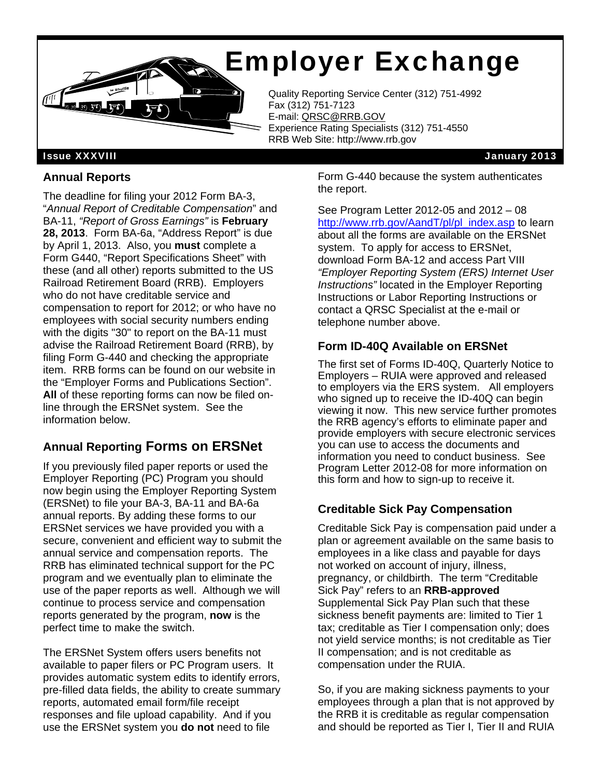# Employer Exchange



Quality Reporting Service Center (312) 751-4992<br>Fax (312) 751-7123 Fax (312) 751-7123 E-mail: QRSC@RRB.GOV Experience Rating Specialists (312) 751-4550 RRB Web Site: http://www.rrb.gov

Issue XXXVIII January 2013

## **Annual Reports**

The deadline for filing your 2012 Form BA-3, "*Annual Report of Creditable Compensation*" and BA-11, *"Report of Gross Earnings"* is **February 28, 2013**. Form BA-6a, "Address Report" is due by April 1, 2013. Also, you **must** complete a Form G440, "Report Specifications Sheet" with these (and all other) reports submitted to the US Railroad Retirement Board (RRB). Employers who do not have creditable service and compensation to report for 2012; or who have no employees with social security numbers ending with the digits "30" to report on the BA-11 must advise the Railroad Retirement Board (RRB), by filing Form G-440 and checking the appropriate item. RRB forms can be found on our website in the "Employer Forms and Publications Section". **All** of these reporting forms can now be filed online through the ERSNet system. See the information below.

## **Annual Reporting Forms on ERSNet**

If you previously filed paper reports or used the Employer Reporting (PC) Program you should now begin using the Employer Reporting System (ERSNet) to file your BA-3, BA-11 and BA-6a annual reports. By adding these forms to our ERSNet services we have provided you with a secure, convenient and efficient way to submit the annual service and compensation reports. The RRB has eliminated technical support for the PC program and we eventually plan to eliminate the use of the paper reports as well. Although we will continue to process service and compensation reports generated by the program, **now** is the perfect time to make the switch.

The ERSNet System offers users benefits not available to paper filers or PC Program users. It provides automatic system edits to identify errors, pre-filled data fields, the ability to create summary reports, automated email form/file receipt responses and file upload capability. And if you use the ERSNet system you **do not** need to file

Form G-440 because the system authenticates the report.

See Program Letter 2012-05 and 2012 – 08 http://www.rrb.gov/AandT/pl/pl\_index.asp to learn about all the forms are available on the ERSNet system. To apply for access to ERSNet, download Form BA-12 and access Part VIII *"Employer Reporting System (ERS) Internet User Instructions"* located in the Employer Reporting Instructions or Labor Reporting Instructions or contact a QRSC Specialist at the e-mail or telephone number above.

## **Form ID-40Q Available on ERSNet**

The first set of Forms ID-40Q, Quarterly Notice to Employers – RUIA were approved and released to employers via the ERS system. All employers who signed up to receive the ID-40Q can begin viewing it now. This new service further promotes the RRB agency's efforts to eliminate paper and provide employers with secure electronic services you can use to access the documents and information you need to conduct business. See Program Letter 2012-08 for more information on this form and how to sign-up to receive it.

## **Creditable Sick Pay Compensation**

Creditable Sick Pay is compensation paid under a plan or agreement available on the same basis to employees in a like class and payable for days not worked on account of injury, illness, pregnancy, or childbirth. The term "Creditable Sick Pay" refers to an **RRB-approved**  Supplemental Sick Pay Plan such that these sickness benefit payments are: limited to Tier 1 tax; creditable as Tier I compensation only; does not yield service months; is not creditable as Tier II compensation; and is not creditable as compensation under the RUIA.

So, if you are making sickness payments to your employees through a plan that is not approved by the RRB it is creditable as regular compensation and should be reported as Tier I, Tier II and RUIA